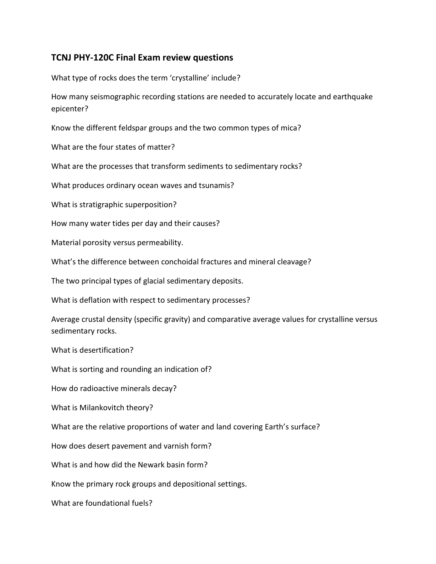## TCNJ PHY-120C Final Exam review questions

What type of rocks does the term 'crystalline' include?

How many seismographic recording stations are needed to accurately locate and earthquake epicenter?

Know the different feldspar groups and the two common types of mica?

What are the four states of matter?

What are the processes that transform sediments to sedimentary rocks?

What produces ordinary ocean waves and tsunamis?

What is stratigraphic superposition?

How many water tides per day and their causes?

Material porosity versus permeability.

What's the difference between conchoidal fractures and mineral cleavage?

The two principal types of glacial sedimentary deposits.

What is deflation with respect to sedimentary processes?

Average crustal density (specific gravity) and comparative average values for crystalline versus sedimentary rocks.

What is desertification?

What is sorting and rounding an indication of?

How do radioactive minerals decay?

What is Milankovitch theory?

What are the relative proportions of water and land covering Earth's surface?

How does desert pavement and varnish form?

What is and how did the Newark basin form?

Know the primary rock groups and depositional settings.

What are foundational fuels?